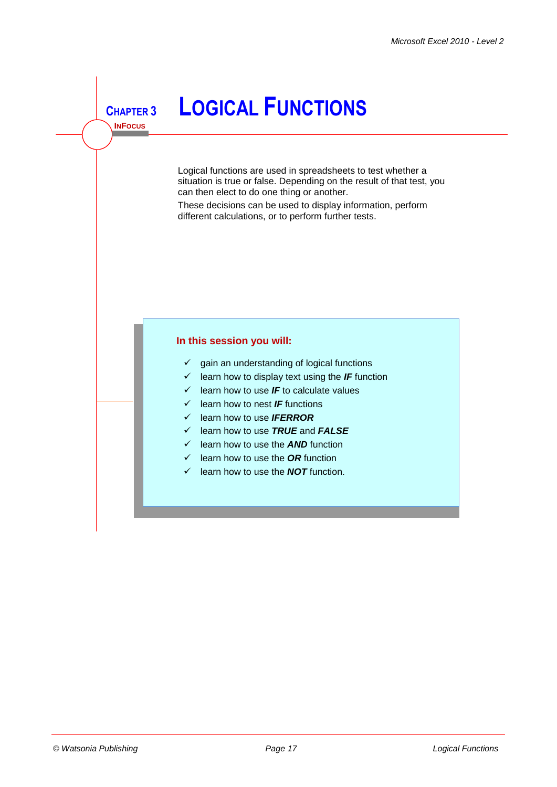**INFOCUS**

# **<sup>C</sup>HAPTER <sup>3</sup> LOGICAL FUNCTIONS**

Logical functions are used in spreadsheets to test whether a situation is true or false. Depending on the result of that test, you can then elect to do one thing or another.

These decisions can be used to display information, perform different calculations, or to perform further tests.

#### **In this session you will:**

- $\checkmark$  gain an understanding of logical functions
- $\checkmark$  learn how to display text using the **IF** function
- $\checkmark$  learn how to use **IF** to calculate values
- learn how to nest *IF* functions
- learn how to use *IFERROR*
- learn how to use *TRUE* and *FALSE*
- $\checkmark$  learn how to use the **AND** function
- $\checkmark$  learn how to use the **OR** function
- $\checkmark$  learn how to use the **NOT** function.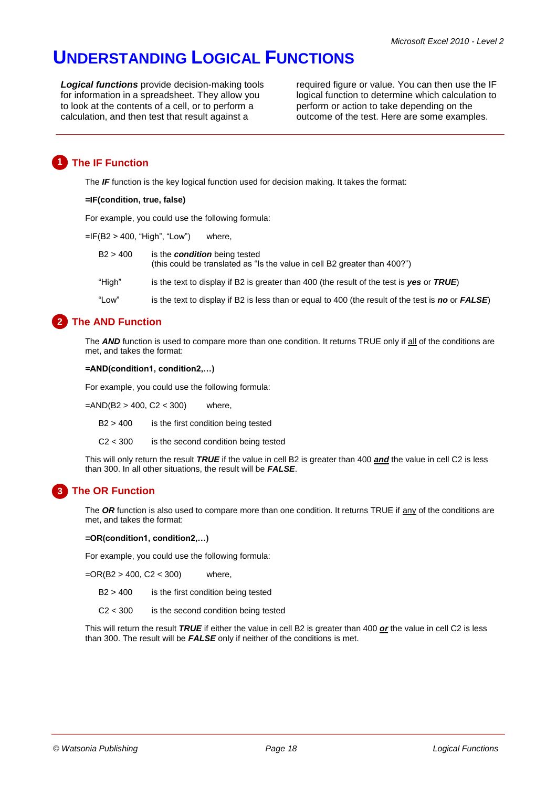# **UNDERSTANDING LOGICAL FUNCTIONS**

*Logical functions* provide decision-making tools for information in a spreadsheet. They allow you to look at the contents of a cell, or to perform a calculation, and then test that result against a

required figure or value. You can then use the IF logical function to determine which calculation to perform or action to take depending on the outcome of the test. Here are some examples.

# **1 The IF Function**

The **IF** function is the key logical function used for decision making. It takes the format:

#### **=IF(condition, true, false)**

For example, you could use the following formula:

 $=$ IF(B2 > 400, "High", "Low") where,

- B2 > 400 is the *condition* being tested (this could be translated as "Is the value in cell B2 greater than 400?")
- "High" is the text to display if B2 is greater than 400 (the result of the test is *yes* or *TRUE*)
- "Low" is the text to display if B2 is less than or equal to 400 (the result of the test is *no* or *FALSE*)

#### **The AND Function 2**

The *AND* function is used to compare more than one condition. It returns TRUE only if all of the conditions are met, and takes the format:

#### **=AND(condition1, condition2,…)**

For example, you could use the following formula:

 $=$ AND(B2 > 400, C2 < 300) where,

B2 > 400 is the first condition being tested

C2 < 300 is the second condition being tested

This will only return the result *TRUE* if the value in cell B2 is greater than 400 *and* the value in cell C2 is less than 300. In all other situations, the result will be *FALSE*.

# **The OR Function 3**

The OR function is also used to compare more than one condition. It returns TRUE if any of the conditions are met, and takes the format:

#### **=OR(condition1, condition2,…)**

For example, you could use the following formula:

 $=$ OR(B2 > 400, C2 < 300) where,

B2 > 400 is the first condition being tested

 $C2 < 300$  is the second condition being tested

This will return the result *TRUE* if either the value in cell B2 is greater than 400 *or* the value in cell C2 is less than 300. The result will be *FALSE* only if neither of the conditions is met.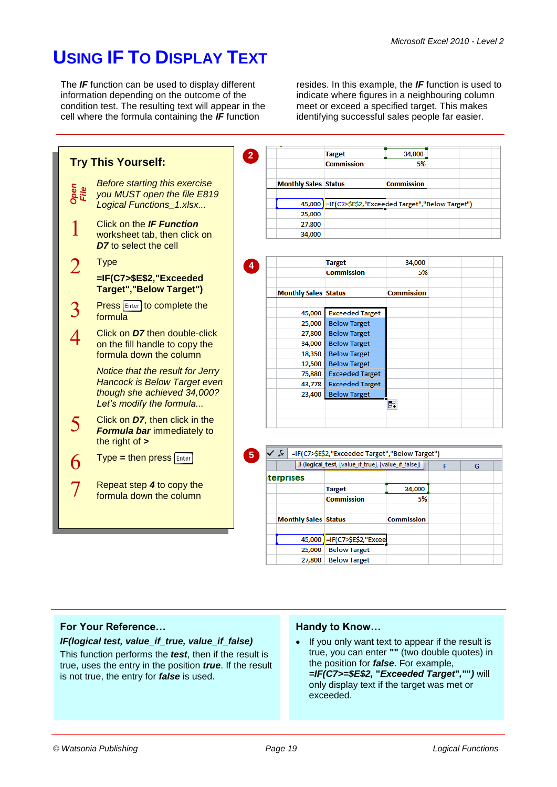resides. In this example, the *IF* function is used to indicate where figures in a neighbouring column meet or exceed a specified target. This makes identifying successful sales people far easier.

# **USING IF TO DISPLAY TEXT**

The *IF* function can be used to display different information depending on the outcome of the condition test. The resulting text will appear in the cell where the formula containing the *IF* function

34,000 **Target 2 Try This Yourself: Commission** 5% *Before starting this exercise*  **Monthly Sales Status Commission** *Open File you MUST open the file E819*  45,000 = IF(C7>\$E\$2,"Exceeded Target","Below Target") *Logical Functions\_1.xlsx...* 25,000  $\mathbf{1}$ Click on the *IF Function* 27,800 34,000 worksheet tab, then click on *D7* to select the cell  $\overline{2}$ **Type Target** 34,000 **4 Commission** 5% **=IF(C7>\$E\$2,"Exceeded Target","Below Target") Monthly Sales Status Commission Press Enter to complete the**  $\mathcal{R}$ 45,000 Exceeded Target formula 25,000 **Below Target**  $\overline{\mathcal{A}}$ Click on *D7* then double-click 27,800 **Below Target** on the fill handle to copy the 34,000 **Below Target** formula down the column 18,350 **Below Target** 12,500 **Below Target** *Notice that the result for Jerry*  75,880 **Exceeded Target** *Hancock is Below Target even*  43,778 **Exceeded Target** *though she achieved 34,000?*  **Below Target** 23,400 *Let's modify the formula...*  $\blacksquare$ Click on *D7*, then click in the 5 *Formula bar* immediately to the right of **> 5**√ fx =IF(C7>\$E\$2,"Exceeded Target","Below Target") Type **=** then press 6 [IF(logical\_test, [value\_if\_true], [value\_if\_false]) ] Ġ **iterprises**  $\overline{7}$ Repeat step *4* to copy the 34,000 **Target** formula down the column **Commission** 5% **Monthly Sales Status Commission** 45,000 = IF(C7>\$E\$2,"Excee 25,000 Below Target 27,800 Below Target

# **For Your Reference…**

*IF(logical test, value\_if\_true, value\_if\_false)* This function performs the *test*, then if the result is true, uses the entry in the position *true*. If the result is not true, the entry for *false* is used.

# **Handy to Know…**

• If you only want text to appear if the result is true, you can enter **""** (two double quotes) in the position for *false*. For example, *=IF(C7>=\$E\$2,* **"***Exceeded Target***"***,***""***)* will only display text if the target was met or exceeded.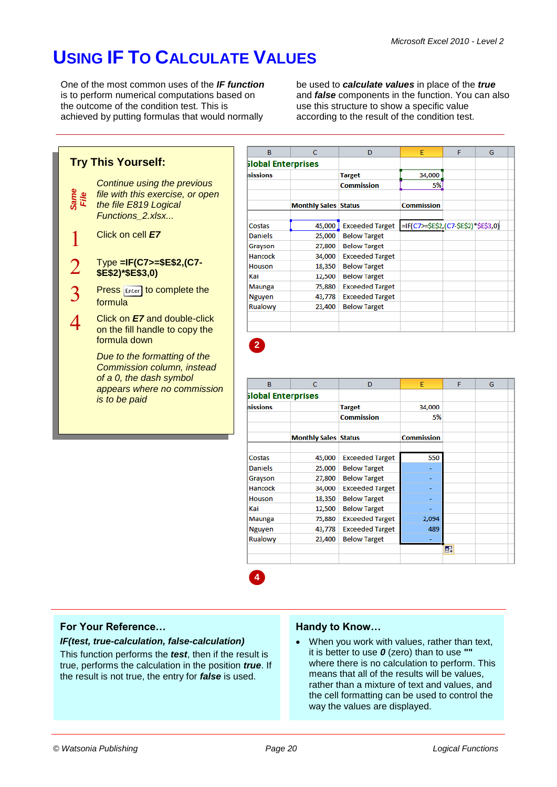# **USING IF TO CALCULATE VALUES**

One of the most common uses of the *IF function* is to perform numerical computations based on the outcome of the condition test. This is achieved by putting formulas that would normally

be used to *calculate values* in place of the *true* and *false* components in the function. You can also use this structure to show a specific value according to the result of the condition test.

|                |                                                                                       | B.                        | $\mathbf{C}$                | D                                             | E                                    | F | G |
|----------------|---------------------------------------------------------------------------------------|---------------------------|-----------------------------|-----------------------------------------------|--------------------------------------|---|---|
|                | <b>Try This Yourself:</b>                                                             | <b>Global Enterprises</b> |                             |                                               |                                      |   |   |
|                |                                                                                       | nissions                  |                             | <b>Target</b>                                 | 34,000                               |   |   |
|                | Continue using the previous                                                           |                           |                             | <b>Commission</b>                             | 5%                                   |   |   |
|                | file with this exercise, or open                                                      |                           |                             |                                               |                                      |   |   |
| Same<br>File   | the file E819 Logical                                                                 |                           | <b>Monthly Sales Status</b> |                                               | <b>Commission</b>                    |   |   |
|                | Functions 2.xlsx                                                                      |                           |                             |                                               |                                      |   |   |
|                |                                                                                       | Costas                    | 45,000                      | <b>Exceeded Target</b>                        | =IF(C7>=\$E\$2,(C7-\$E\$2)*\$E\$3,0) |   |   |
|                | Click on cell <b>E7</b>                                                               | <b>Daniels</b>            | 25,000                      | <b>Below Target</b>                           |                                      |   |   |
|                |                                                                                       | Grayson                   | 27,800                      | <b>Below Target</b>                           |                                      |   |   |
|                |                                                                                       | Hancock                   | 34,000                      | <b>Exceeded Target</b>                        |                                      |   |   |
|                | Type =IF(C7>=\$E\$2,(C7-                                                              | <b>Houson</b>             | 18,350                      | <b>Below Target</b>                           |                                      |   |   |
|                | \$E\$2)*\$E\$3,0)                                                                     | Kai                       | 12,500                      | <b>Below Target</b>                           |                                      |   |   |
|                |                                                                                       | <b>Maunga</b>             | 75,880                      | <b>Exceeded Target</b>                        |                                      |   |   |
|                | <b>Press Enter to complete the</b>                                                    | <b>Nguyen</b>             | 43,778                      | <b>Exceeded Target</b>                        |                                      |   |   |
| $\mathfrak{Z}$ | formula                                                                               | Rualowy                   | 23,400                      | <b>Below Target</b>                           |                                      |   |   |
| 4              | Click on <b>E7</b> and double-click                                                   |                           |                             |                                               |                                      |   |   |
|                | Due to the formatting of the<br>Commission column, instead<br>of a 0, the dash symbol |                           |                             |                                               |                                      |   |   |
|                | appears where no commission                                                           | B                         | $\mathbf C$                 | D                                             | E                                    | F | G |
|                | is to be paid                                                                         | <b>Slobal Enterprises</b> |                             |                                               |                                      |   |   |
|                |                                                                                       | nissions                  |                             | <b>Target</b>                                 | 34,000                               |   |   |
|                |                                                                                       |                           |                             | <b>Commission</b>                             | 5%                                   |   |   |
|                |                                                                                       |                           |                             |                                               |                                      |   |   |
|                |                                                                                       |                           |                             |                                               |                                      |   |   |
|                |                                                                                       |                           | <b>Monthly Sales Status</b> |                                               | <b>Commission</b>                    |   |   |
|                |                                                                                       |                           |                             |                                               |                                      |   |   |
|                |                                                                                       | Costas                    | 45,000                      | <b>Exceeded Target</b>                        | 550                                  |   |   |
|                |                                                                                       | <b>Daniels</b>            | 25,000                      | <b>Below Target</b>                           | u,                                   |   |   |
|                |                                                                                       | Grayson                   | 27,800                      | <b>Below Target</b>                           | ÷                                    |   |   |
|                |                                                                                       | Hancock                   | 34,000                      | <b>Exceeded Target</b>                        |                                      |   |   |
|                |                                                                                       | Houson                    | 18,350                      | <b>Below Target</b>                           | ٠                                    |   |   |
|                |                                                                                       | Kai                       | 12,500                      | <b>Below Target</b>                           | ÷                                    |   |   |
|                |                                                                                       | <b>Maunga</b>             | 75,880                      | <b>Exceeded Target</b>                        | 2,094                                |   |   |
|                |                                                                                       | <b>Nguyen</b><br>Rualowy  | 43,778<br>23,400            | <b>Exceeded Target</b><br><b>Below Target</b> | 489                                  |   |   |

### **For Your Reference…**

#### *IF(test, true-calculation, false-calculation)*

This function performs the *test*, then if the result is true, performs the calculation in the position *true*. If the result is not true, the entry for *false* is used.

### **Handy to Know…**

 When you work with values, rather than text, it is better to use *0* (zero) than to use **""** where there is no calculation to perform. This means that all of the results will be values, rather than a mixture of text and values, and the cell formatting can be used to control the way the values are displayed.

**4**

團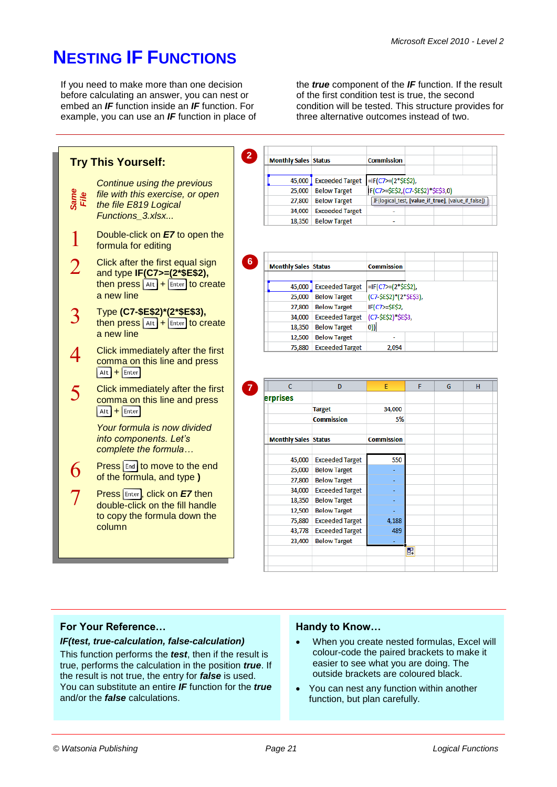the *true* component of the *IF* function. If the result of the first condition test is true, the second condition will be tested. This structure provides for

three alternative outcomes instead of two.

# **NESTING IF FUNCTIONS**

I

フ

 $\overline{3}$ 

 $\boldsymbol{\varDelta}$ 

5

6

 $\overline{7}$ 

If you need to make more than one decision before calculating an answer, you can nest or embed an *IF* function inside an *IF* function. For example, you can use an *IF* function in place of

**2 Try This Yourself: Monthly Sales Status Commission** 45,000 Exceeded Target = IF(C7>=(2\*\$E\$2), *Continue using the previous*  25,000 Below Target IF(C7>=\$E\$2,(C7-\$E\$2)\*\$E\$3,0) *file with this exercise, or open Same File* 27,800 Below Target [IF(logical\_test, [value\_if\_true], [value\_if\_false]) *the file E819 Logical*  34,000 Exceeded Target *Functions\_3.xlsx...* 18,350 Below Target Double-click on *E7* to open the formula for editing **6** Click after the first equal sign **Monthly Sales Status Commission** and type **IF(C7>=(2\*\$E\$2),** then press  $\boxed{\text{Alt}}$  +  $\boxed{\text{Enter}}$  to create 45,000 Exceeded Target =IF(C7>=(2\*\$E\$2), a new line 25,000 Below Target (C7-\$E\$2)\*(2\*\$E\$3), 27,800 Below Target IF(C7>=\$E\$2, Type **(C7-\$E\$2)\*(2\*\$E\$3),** 34,000 Exceeded Target (C7-\$E\$2)\*\$E\$3, then press  $\boxed{\text{Alt}}$  +  $\boxed{\text{Enter}}$  to create  $|0\rangle$ 18,350 Below Target a new line 12,500 Below Target 75,880 Exceeded Target 2.094 Click immediately after the first comma on this line and press  $\overline{H}$  Alt  $\overline{H}$  +  $\overline{E}$  Enter  $\overline{c}$  $\overline{D}$  $\overline{F}$ F  $\overline{G}$  $\overline{H}$ **7**Click immediately after the first erprises comma on this line and press 34,000  $At +$  Enter **Target Commission** 5% *Your formula is now divided into components. Let's* **Monthly Sales Status** Commission *complete the formula…* 45,000 Exceeded Target 550 **Press** End to move to the end 25,000 Below Target of the formula, and type **)** 27,800 Below Target 34,000 Exceeded Target **Press Enter, click on E7 then** 18,350 Below Target double-click on the fill handle 12,500 Below Target to copy the formula down the 75,880 Exceeded Target 4.188 column 43,778 Exceeded Target 489 23,400 Below Target 屈

# **For Your Reference…**

### *IF(test, true-calculation, false-calculation)*

This function performs the *test*, then if the result is true, performs the calculation in the position *true*. If the result is not true, the entry for *false* is used. You can substitute an entire *IF* function for the *true* and/or the *false* calculations.

### **Handy to Know…**

- When you create nested formulas, Excel will colour-code the paired brackets to make it easier to see what you are doing. The outside brackets are coloured black.
- You can nest any function within another function, but plan carefully.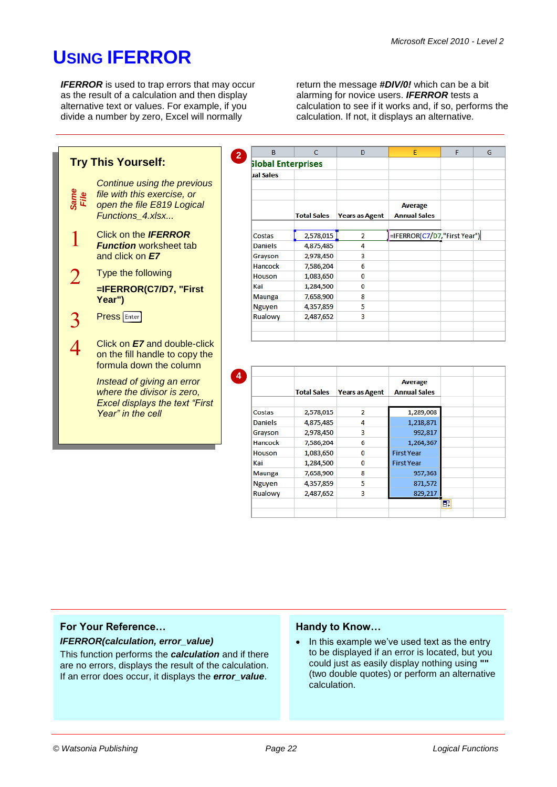# **USING IFERROR**

**IFERROR** is used to trap errors that may occur as the result of a calculation and then display alternative text or values. For example, if you divide a number by zero, Excel will normally

**2**

**4**

return the message *#DIV/0!* which can be a bit alarming for novice users. *IFERROR* tests a calculation to see if it works and, if so, performs the calculation. If not, it displays an alternative.



| B              | c                         | D                     | E                            | F | G |
|----------------|---------------------------|-----------------------|------------------------------|---|---|
|                | <b>Slobal Enterprises</b> |                       |                              |   |   |
| ual Sales      |                           |                       |                              |   |   |
|                |                           |                       |                              |   |   |
|                |                           |                       |                              |   |   |
|                |                           |                       | <b>Average</b>               |   |   |
|                | <b>Total Sales</b>        | <b>Years as Agent</b> | <b>Annual Sales</b>          |   |   |
|                |                           |                       |                              |   |   |
| Costas         | 2,578,015                 | 2                     | =IFERROR(C7/D7,"First Year") |   |   |
| <b>Daniels</b> | 4,875,485                 | 4                     |                              |   |   |
| Grayson        | 2,978,450                 | 3                     |                              |   |   |
| Hancock        | 7,586,204                 | 6                     |                              |   |   |
| <b>Houson</b>  | 1,083,650                 | 0                     |                              |   |   |
| Kai            | 1,284,500                 | 0                     |                              |   |   |
| <b>Maunga</b>  | 7,658,900                 | 8                     |                              |   |   |
| <b>Nguyen</b>  | 4,357,859                 | 5                     |                              |   |   |
| Rualowy        | 2,487,652                 | 3                     |                              |   |   |
|                |                           |                       |                              |   |   |
|                |                           |                       |                              |   |   |

|                | <b>Total Sales</b> | <b>Years as Agent</b> | <b>Average</b><br><b>Annual Sales</b> |   |  |
|----------------|--------------------|-----------------------|---------------------------------------|---|--|
|                |                    |                       |                                       |   |  |
| Costas         | 2,578,015          | 2                     | 1,289,008                             |   |  |
| <b>Daniels</b> | 4,875,485          | 4                     | 1,218,871                             |   |  |
| Grayson        | 2,978,450          | з                     | 992,817                               |   |  |
| Hancock        | 7,586,204          | 6                     | 1,264,367                             |   |  |
| <b>Houson</b>  | 1,083,650          | o                     | <b>First Year</b>                     |   |  |
| Kai            | 1,284,500          | 0                     | <b>First Year</b>                     |   |  |
| <b>Maunga</b>  | 7,658,900          | 8                     | 957,363                               |   |  |
| <b>Nguyen</b>  | 4,357,859          | 5                     | 871,572                               |   |  |
| Rualowy        | 2,487,652          | 3                     | 829,217                               |   |  |
|                |                    |                       |                                       | 早 |  |

### **For Your Reference…**

# *IFERROR(calculation, error\_value)*

This function performs the *calculation* and if there are no errors, displays the result of the calculation. If an error does occur, it displays the *error\_value*.

### **Handy to Know…**

• In this example we've used text as the entry to be displayed if an error is located, but you could just as easily display nothing using **""** (two double quotes) or perform an alternative calculation.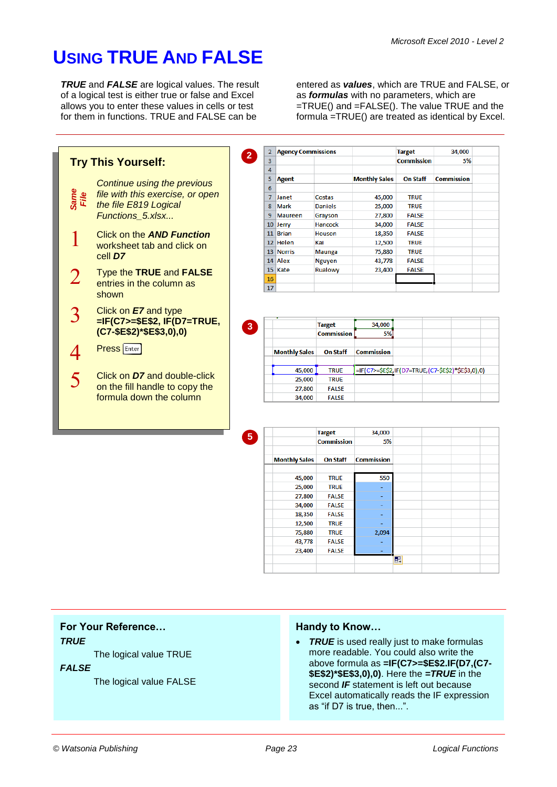34.000

**Commission** 

5%

# **USING TRUE AND FALSE**

*TRUE* and *FALSE* are logical values. The result of a logical test is either true or false and Excel allows you to enter these values in cells or test for them in functions. TRUE and FALSE can be

entered as *values*, which are TRUE and FALSE, or as *formulas* with no parameters, which are =TRUE() and =FALSE(). The value TRUE and the formula =TRUE() are treated as identical by Excel.

**TRUE** 

**TRUF** 

**FALSE** 

**FALSE** 

**FALSE** 

**TRUE** 

TRUE

**FALSE** 

**FALSE** 



|                      | <b>Target</b>     | 34,000            |    |  |  |
|----------------------|-------------------|-------------------|----|--|--|
|                      | <b>Commission</b> | 5%                |    |  |  |
| <b>Monthly Sales</b> | <b>On Staff</b>   | <b>Commission</b> |    |  |  |
| 45,000               | <b>TRUE</b>       | 550               |    |  |  |
| 25,000               | <b>TRUE</b>       |                   |    |  |  |
| 27,800               | <b>FALSE</b>      |                   |    |  |  |
| 34,000               | <b>FALSE</b>      |                   |    |  |  |
| 18,350               | <b>FALSE</b>      |                   |    |  |  |
| 12,500               | <b>TRUE</b>       |                   |    |  |  |
| 75,880               | <b>TRUE</b>       | 2,094             |    |  |  |
| 43,778               | <b>FALSE</b>      |                   |    |  |  |
| 23,400               | <b>FALSE</b>      |                   |    |  |  |
|                      |                   |                   | E. |  |  |
|                      |                   |                   |    |  |  |

# **For Your Reference…**

#### *TRUE*

The logical value TRUE

#### *FALSE*

The logical value FALSE

### **Handy to Know…**

• TRUE is used really just to make formulas more readable. You could also write the above formula as **=IF(C7>=\$E\$2.IF(D7,(C7- \$E\$2)\*\$E\$3,0),0)**. Here the *=TRUE* in the second *IF* statement is left out because Excel automatically reads the IF expression as "if D7 is true, then...".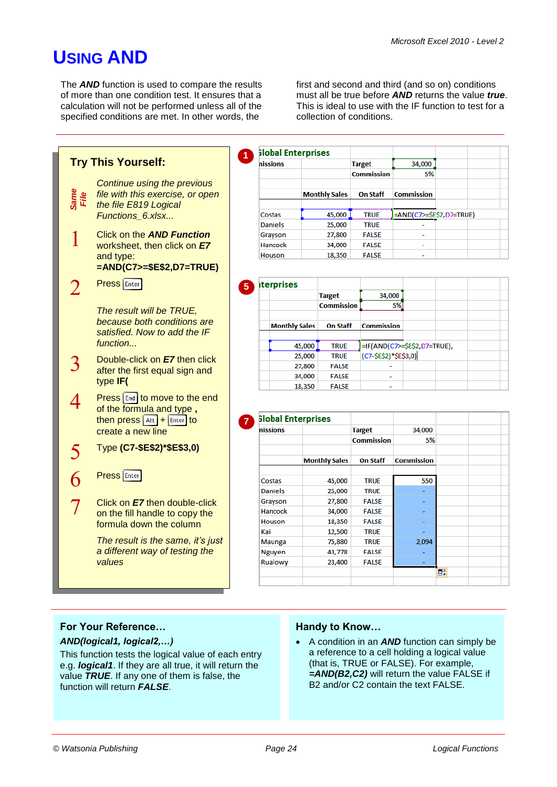# **USING AND**

The *AND* function is used to compare the results of more than one condition test. It ensures that a calculation will not be performed unless all of the specified conditions are met. In other words, the

first and second and third (and so on) conditions must all be true before *AND* returns the value *true*. This is ideal to use with the IF function to test for a collection of conditions.



|                | <b>Slobal Enterprises</b> |                   |                          |  |  |
|----------------|---------------------------|-------------------|--------------------------|--|--|
| nissions       |                           | <b>Target</b>     | 34,000                   |  |  |
|                |                           | <b>Commission</b> | 5%                       |  |  |
|                | <b>Monthly Sales</b>      | <b>On Staff</b>   | <b>Commission</b>        |  |  |
| Costas         | 45,000                    | <b>TRUE</b>       | =AND(C7>=\$E\$2,D7=TRUE) |  |  |
| <b>Daniels</b> | 25,000                    | <b>TRUE</b>       |                          |  |  |
| Grayson        | 27,800                    | <b>FALSE</b>      | -                        |  |  |
| Hancock        | 34,000                    | <b>FALSE</b>      | $\overline{\phantom{0}}$ |  |  |
| Houson         | 18,350                    | <b>FALSE</b>      | ۰                        |  |  |

| <b>iterprises</b>    |                   |                                                       |  |  |
|----------------------|-------------------|-------------------------------------------------------|--|--|
|                      | <b>Target</b>     | 34,000                                                |  |  |
|                      | <b>Commission</b> | 5%                                                    |  |  |
| <b>Monthly Sales</b> | <b>On Staff</b>   | <b>Commission</b>                                     |  |  |
|                      |                   |                                                       |  |  |
| 45,000               | <b>TRUE</b>       |                                                       |  |  |
| 25,000               | <b>TRUE</b>       | =IF(AND(C7>=\$E\$2,D7=TRUE),<br>(C7-\$E\$2)*\$E\$3,0) |  |  |
| 27,800               | <b>FALSE</b>      |                                                       |  |  |
| 34,000               | <b>FALSE</b>      |                                                       |  |  |
| 18,350               | <b>FALSE</b>      | ۰                                                     |  |  |

| nissions       |                      | <b>Target</b>     | 34,000            |    |
|----------------|----------------------|-------------------|-------------------|----|
|                |                      | <b>Commission</b> | 5%                |    |
|                | <b>Monthly Sales</b> | <b>On Staff</b>   | <b>Commission</b> |    |
| Costas         | 45,000               | <b>TRUE</b>       | 550               |    |
| <b>Daniels</b> | 25,000               | <b>TRUE</b>       |                   |    |
| Grayson        | 27,800               | <b>FALSE</b>      |                   |    |
| Hancock        | 34,000               | <b>FALSE</b>      |                   |    |
| <b>Houson</b>  | 18,350               | <b>FALSE</b>      |                   |    |
| Kai            | 12,500               | <b>TRUE</b>       |                   |    |
| <b>Maunga</b>  | 75,880               | <b>TRUE</b>       | 2,094             |    |
| <b>Nguyen</b>  | 43,778               | <b>FALSE</b>      |                   |    |
| Rualowy        | 23,400               | <b>FALSE</b>      |                   |    |
|                |                      |                   |                   | F. |

# **For Your Reference…**

### *AND(logical1, logical2,…)*

This function tests the logical value of each entry e.g. *logical1*. If they are all true, it will return the value *TRUE*. If any one of them is false, the function will return *FALSE*.

# **Handy to Know…**

 A condition in an *AND* function can simply be a reference to a cell holding a logical value (that is, TRUE or FALSE). For example, *=AND(B2,C2)* will return the value FALSE if B2 and/or C2 contain the text FALSE.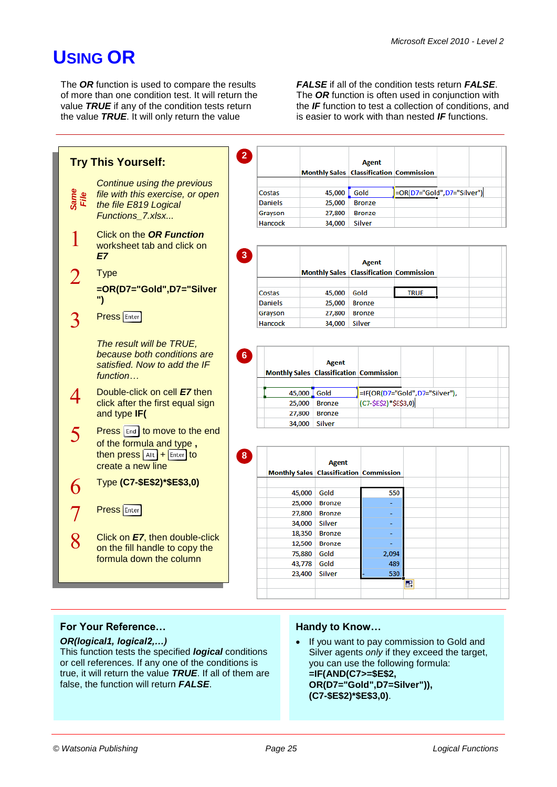# **USING OR**

The *OR* function is used to compare the results of more than one condition test. It will return the value *TRUE* if any of the condition tests return the value *TRUE*. It will only return the value

*FALSE* if all of the condition tests return *FALSE*. The *OR* function is often used in conjunction with the *IF* function to test a collection of conditions, and is easier to work with than nested *IF* functions.



# **For Your Reference…**

### *OR(logical1, logical2,…)*

This function tests the specified *logical* conditions or cell references. If any one of the conditions is true, it will return the value *TRUE*. If all of them are false, the function will return *FALSE*.

# **Handy to Know…**

• If you want to pay commission to Gold and Silver agents *only* if they exceed the target, you can use the following formula: **=IF(AND(C7>=\$E\$2, OR(D7="Gold",D7=Silver")), (C7-\$E\$2)\*\$E\$3,0)**.